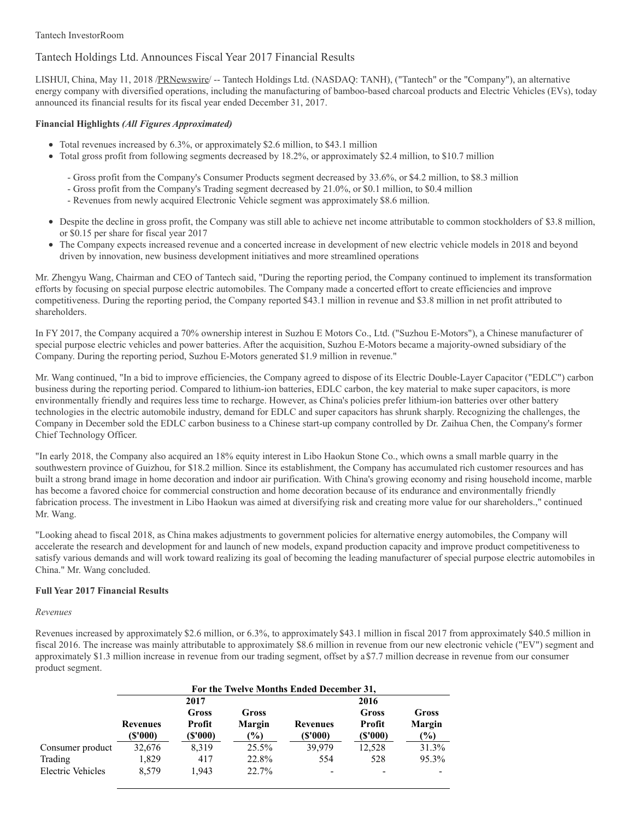# Tantech InvestorRoom

# Tantech Holdings Ltd. Announces Fiscal Year 2017 Financial Results

LISHUI, China, May 11, 2018 [/PRNewswire](http://www.prnewswire.com/)/ -- Tantech Holdings Ltd. (NASDAQ: TANH), ("Tantech" or the "Company"), an alternative energy company with diversified operations, including the manufacturing of bamboo-based charcoal products and Electric Vehicles (EVs), today announced its financial results for its fiscal year ended December 31, 2017.

# **Financial Highlights** *(All Figures Approximated)*

- Total revenues increased by 6.3%, or approximately \$2.6 million, to \$43.1 million
- Total gross profit from following segments decreased by 18.2%, or approximately \$2.4 million, to \$10.7 million
	- Gross profit from the Company's Consumer Products segment decreased by 33.6%, or \$4.2 million, to \$8.3 million
	- Gross profit from the Company's Trading segment decreased by 21.0%, or \$0.1 million, to \$0.4 million
	- Revenues from newly acquired Electronic Vehicle segment was approximately \$8.6 million.
- Despite the decline in gross profit, the Company was still able to achieve net income attributable to common stockholders of \$3.8 million, or \$0.15 per share for fiscal year 2017
- The Company expects increased revenue and a concerted increase in development of new electric vehicle models in 2018 and beyond  $\bullet$ driven by innovation, new business development initiatives and more streamlined operations

Mr. Zhengyu Wang, Chairman and CEO of Tantech said, "During the reporting period, the Company continued to implement its transformation efforts by focusing on special purpose electric automobiles. The Company made a concerted effort to create efficiencies and improve competitiveness. During the reporting period, the Company reported \$43.1 million in revenue and \$3.8 million in net profit attributed to shareholders.

In FY 2017, the Company acquired a 70% ownership interest in Suzhou E Motors Co., Ltd. ("Suzhou E-Motors"), a Chinese manufacturer of special purpose electric vehicles and power batteries. After the acquisition, Suzhou E-Motors became a majority-owned subsidiary of the Company. During the reporting period, Suzhou E-Motors generated \$1.9 million in revenue."

Mr. Wang continued, "In a bid to improve efficiencies, the Company agreed to dispose of its Electric Double-Layer Capacitor ("EDLC") carbon business during the reporting period. Compared to lithium-ion batteries, EDLC carbon, the key material to make super capacitors, is more environmentally friendly and requires less time to recharge. However, as China's policies prefer lithium-ion batteries over other battery technologies in the electric automobile industry, demand for EDLC and super capacitors has shrunk sharply. Recognizing the challenges, the Company in December sold the EDLC carbon business to a Chinese start-up company controlled by Dr. Zaihua Chen, the Company's former Chief Technology Officer.

"In early 2018, the Company also acquired an 18% equity interest in Libo Haokun Stone Co., which owns a small marble quarry in the southwestern province of Guizhou, for \$18.2 million. Since its establishment, the Company has accumulated rich customer resources and has built a strong brand image in home decoration and indoor air purification. With China's growing economy and rising household income, marble has become a favored choice for commercial construction and home decoration because of its endurance and environmentally friendly fabrication process. The investment in Libo Haokun was aimed at diversifying risk and creating more value for our shareholders.," continued Mr. Wang.

"Looking ahead to fiscal 2018, as China makes adjustments to government policies for alternative energy automobiles, the Company will accelerate the research and development for and launch of new models, expand production capacity and improve product competitiveness to satisfy various demands and will work toward realizing its goal of becoming the leading manufacturer of special purpose electric automobiles in China." Mr. Wang concluded.

# **Full Year 2017 Financial Results**

# *Revenues*

Revenues increased by approximately \$2.6 million, or 6.3%, to approximately \$43.1 million in fiscal 2017 from approximately \$40.5 million in fiscal 2016. The increase was mainly attributable to approximately \$8.6 million in revenue from our new electronic vehicle ("EV") segment and approximately \$1.3 million increase in revenue from our trading segment, offset by a \$7.7 million decrease in revenue from our consumer product segment.

|                   | For the Twelve Months Ended December 31, |                             |                                          |                             |                            |                                  |  |
|-------------------|------------------------------------------|-----------------------------|------------------------------------------|-----------------------------|----------------------------|----------------------------------|--|
|                   | 2017                                     |                             |                                          | 2016                        |                            |                                  |  |
|                   | <b>Revenues</b><br>(\$'000)              | Gross<br>Profit<br>(\$'000) | Gross<br><b>Margin</b><br>$\binom{0}{0}$ | <b>Revenues</b><br>(\$'000) | Gross<br>Profit<br>(S'000) | Gross<br><b>Margin</b><br>$(\%)$ |  |
| Consumer product  | 32,676                                   | 8,319                       | $25.5\%$                                 | 39,979                      | 12,528                     | 31.3%                            |  |
| Trading           | 1,829                                    | 417                         | 22.8%                                    | 554                         | 528                        | 95.3%                            |  |
| Electric Vehicles | 8.579                                    | 1.943                       | 22.7%                                    |                             |                            |                                  |  |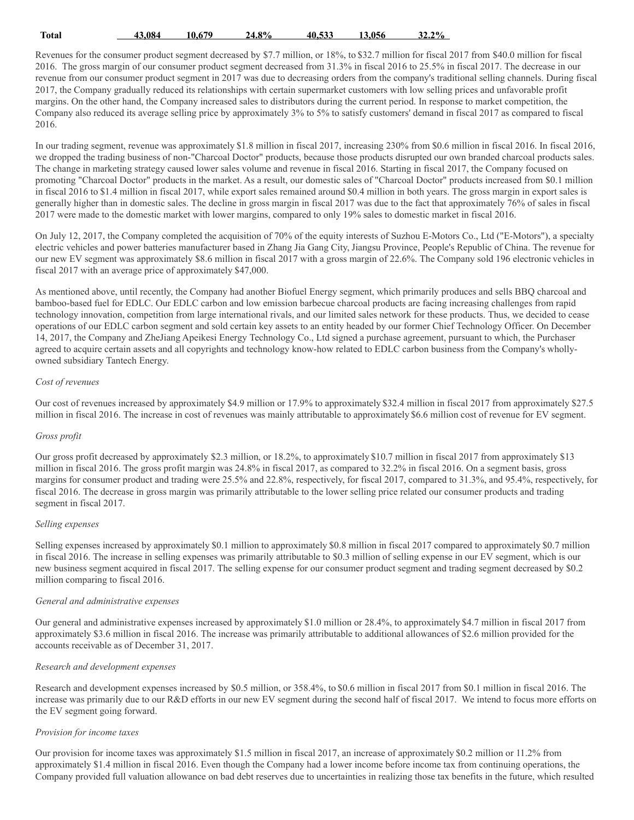| Total | $-3.084$ | 10.679 | 24.8% | 40.533 | 13.056 | 32.2% |
|-------|----------|--------|-------|--------|--------|-------|
|       |          |        |       |        |        |       |

Revenues for the consumer product segment decreased by \$7.7 million, or 18%, to \$32.7 million for fiscal 2017 from \$40.0 million for fiscal 2016. The gross margin of our consumer product segment decreased from 31.3% in fiscal 2016 to 25.5% in fiscal 2017. The decrease in our revenue from our consumer product segment in 2017 was due to decreasing orders from the company's traditional selling channels. During fiscal 2017, the Company gradually reduced its relationships with certain supermarket customers with low selling prices and unfavorable profit margins. On the other hand, the Company increased sales to distributors during the current period. In response to market competition, the Company also reduced its average selling price by approximately 3% to 5% to satisfy customers' demand in fiscal 2017 as compared to fiscal 2016.

In our trading segment, revenue was approximately \$1.8 million in fiscal 2017, increasing 230% from \$0.6 million in fiscal 2016. In fiscal 2016, we dropped the trading business of non-"Charcoal Doctor" products, because those products disrupted our own branded charcoal products sales. The change in marketing strategy caused lower sales volume and revenue in fiscal 2016. Starting in fiscal 2017, the Company focused on promoting "Charcoal Doctor" products in the market. As a result, our domestic sales of "Charcoal Doctor" products increased from \$0.1 million in fiscal 2016 to \$1.4 million in fiscal 2017, while export sales remained around \$0.4 million in both years. The gross margin in export sales is generally higher than in domestic sales. The decline in gross margin in fiscal 2017 was due to the fact that approximately 76% of sales in fiscal 2017 were made to the domestic market with lower margins, compared to only 19% sales to domestic market in fiscal 2016.

On July 12, 2017, the Company completed the acquisition of 70% of the equity interests of Suzhou E-Motors Co., Ltd ("E-Motors"), a specialty electric vehicles and power batteries manufacturer based in Zhang Jia Gang City, Jiangsu Province, People's Republic of China. The revenue for our new EV segment was approximately \$8.6 million in fiscal 2017 with a gross margin of 22.6%. The Company sold 196 electronic vehicles in fiscal 2017 with an average price of approximately \$47,000.

As mentioned above, until recently, the Company had another Biofuel Energy segment, which primarily produces and sells BBQ charcoal and bamboo-based fuel for EDLC. Our EDLC carbon and low emission barbecue charcoal products are facing increasing challenges from rapid technology innovation, competition from large international rivals, and our limited sales network for these products. Thus, we decided to cease operations of our EDLC carbon segment and sold certain key assets to an entity headed by our former Chief Technology Officer. On December 14, 2017, the Company and ZheJiang Apeikesi Energy Technology Co., Ltd signed a purchase agreement, pursuant to which, the Purchaser agreed to acquire certain assets and all copyrights and technology know-how related to EDLC carbon business from the Company's whollyowned subsidiary Tantech Energy.

#### *Cost of revenues*

Our cost of revenues increased by approximately \$4.9 million or 17.9% to approximately \$32.4 million in fiscal 2017 from approximately \$27.5 million in fiscal 2016. The increase in cost of revenues was mainly attributable to approximately \$6.6 million cost of revenue for EV segment.

# *Gross profit*

Our gross profit decreased by approximately \$2.3 million, or 18.2%, to approximately \$10.7 million in fiscal 2017 from approximately \$13 million in fiscal 2016. The gross profit margin was 24.8% in fiscal 2017, as compared to 32.2% in fiscal 2016. On a segment basis, gross margins for consumer product and trading were 25.5% and 22.8%, respectively, for fiscal 2017, compared to 31.3%, and 95.4%, respectively, for fiscal 2016. The decrease in gross margin was primarily attributable to the lower selling price related our consumer products and trading segment in fiscal 2017.

#### *Selling expenses*

Selling expenses increased by approximately \$0.1 million to approximately \$0.8 million in fiscal 2017 compared to approximately \$0.7 million in fiscal 2016. The increase in selling expenses was primarily attributable to \$0.3 million of selling expense in our EV segment, which is our new business segment acquired in fiscal 2017. The selling expense for our consumer product segment and trading segment decreased by \$0.2 million comparing to fiscal 2016.

# *General and administrative expenses*

Our general and administrative expenses increased by approximately \$1.0 million or 28.4%, to approximately \$4.7 million in fiscal 2017 from approximately \$3.6 million in fiscal 2016. The increase was primarily attributable to additional allowances of \$2.6 million provided for the accounts receivable as of December 31, 2017.

# *Research and development expenses*

Research and development expenses increased by \$0.5 million, or 358.4%, to \$0.6 million in fiscal 2017 from \$0.1 million in fiscal 2016. The increase was primarily due to our R&D efforts in our new EV segment during the second half of fiscal 2017. We intend to focus more efforts on the EV segment going forward.

#### *Provision for income taxes*

Our provision for income taxes was approximately \$1.5 million in fiscal 2017, an increase of approximately \$0.2 million or 11.2% from approximately \$1.4 million in fiscal 2016. Even though the Company had a lower income before income tax from continuing operations, the Company provided full valuation allowance on bad debt reserves due to uncertainties in realizing those tax benefits in the future, which resulted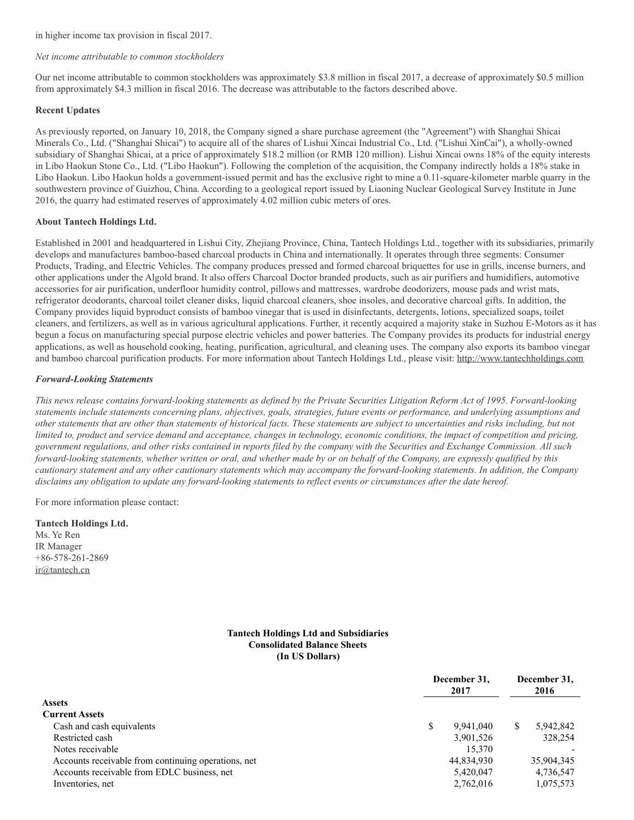in higher income tax provision in fiscal 2017.

#### *Net income attributable to common stockholders*

Our net income attributable to common stockholders was approximately \$3.8 million in fiscal 2017, a decrease of approximately \$0.5 million from approximately \$4.3 million in fiscal 2016. The decrease was attributable to the factors described above.

# **Recent Updates**

As previously reported, on January 10, 2018, the Company signed a share purchase agreement (the "Agreement") with Shanghai Shicai Minerals Co., Ltd. ("Shanghai Shicai") to acquire all of the shares of Lishui Xincai Industrial Co., Ltd. ("Lishui XinCai"), a wholly-owned subsidiary of Shanghai Shicai, at a price of approximately \$18.2 million (or RMB 120 million). Lishui Xincai owns 18% of the equity interests in Libo Haokun Stone Co., Ltd. ("Libo Haokun"). Following the completion of the acquisition, the Company indirectly holds a 18% stake in Libo Haokun. Libo Haokun holds a government-issued permit and has the exclusive right to mine a 0.11-square-kilometer marble quarry in the southwestern province of Guizhou, China. According to a geological report issued by Liaoning Nuclear Geological Survey Institute in June 2016, the quarry had estimated reserves of approximately 4.02 million cubic meters of ores.

#### **About Tantech Holdings Ltd.**

Established in 2001 and headquartered in Lishui City, Zhejiang Province, China, Tantech Holdings Ltd., together with its subsidiaries, primarily develops and manufactures bamboo-based charcoal products in China and internationally. It operates through three segments: Consumer Products, Trading, and Electric Vehicles. The company produces pressed and formed charcoal briquettes for use in grills, incense burners, and other applications under the Algold brand. It also offers Charcoal Doctor branded products, such as air purifiers and humidifiers, automotive accessories for air purification, underfloor humidity control, pillows and mattresses, wardrobe deodorizers, mouse pads and wrist mats, refrigerator deodorants, charcoal toilet cleaner disks, liquid charcoal cleaners, shoe insoles, and decorative charcoal gifts. In addition, the Company provides liquid byproduct consists of bamboo vinegar that is used in disinfectants, detergents, lotions, specialized soaps, toilet cleaners, and fertilizers, as well as in various agricultural applications. Further, it recently acquired a majority stake in Suzhou E-Motors as it has begun a focus on manufacturing special purpose electric vehicles and power batteries. The Company provides its products for industrial energy applications, as well as household cooking, heating, purification, agricultural, and cleaning uses. The company also exports its bamboo vinegar and bamboo charcoal purification products. For more information about Tantech Holdings Ltd., please visit: [http://www.tantechholdings.com](http://www.tantechholdings.com/)

#### *Forward-Looking Statements*

This news release contains forward-looking statements as defined by the Private Securities Litigation Reform Act of 1995. Forward-looking statements include statements concerning plans, objectives, goals, strategies, future events or performance, and underlying assumptions and other statements that are other than statements of historical facts. These statements are subject to uncertainties and risks including, but not limited to, product and service demand and acceptance, changes in technology, economic conditions, the impact of competition and pricing, government regulations, and other risks contained in reports filed by the company with the Securities and Exchange Commission. All such forward-looking statements, whether written or oral, and whether made by or on behalf of the Company, are expressly qualified by this cautionary statement and any other cautionary statements which may accompany the forward-looking statements. In addition, the Company disclaims any obligation to update any forward-looking statements to reflect events or circumstances after the date hereof.

For more information please contact:

**Tantech Holdings Ltd.** Ms. Ye Ren IR Manager +86-578-261-2869 [ir@tantech.cn](mailto:ir@tantech.cn)

#### **Tantech Holdings Ltd and Subsidiaries Consolidated Balance Sheets (In US Dollars)**

|                                                     | December 31,<br>2017 |            | December 31,<br>2016 |            |
|-----------------------------------------------------|----------------------|------------|----------------------|------------|
| <b>Assets</b>                                       |                      |            |                      |            |
| <b>Current Assets</b>                               |                      |            |                      |            |
| Cash and cash equivalents                           | S                    | 9.941.040  | S.                   | 5,942,842  |
| Restricted cash                                     |                      | 3,901,526  |                      | 328,254    |
| Notes receivable                                    |                      | 15.370     |                      |            |
| Accounts receivable from continuing operations, net |                      | 44,834,930 |                      | 35,904,345 |
| Accounts receivable from EDLC business, net         |                      | 5,420,047  |                      | 4,736,547  |
| Inventories, net                                    |                      | 2,762,016  |                      | 1,075,573  |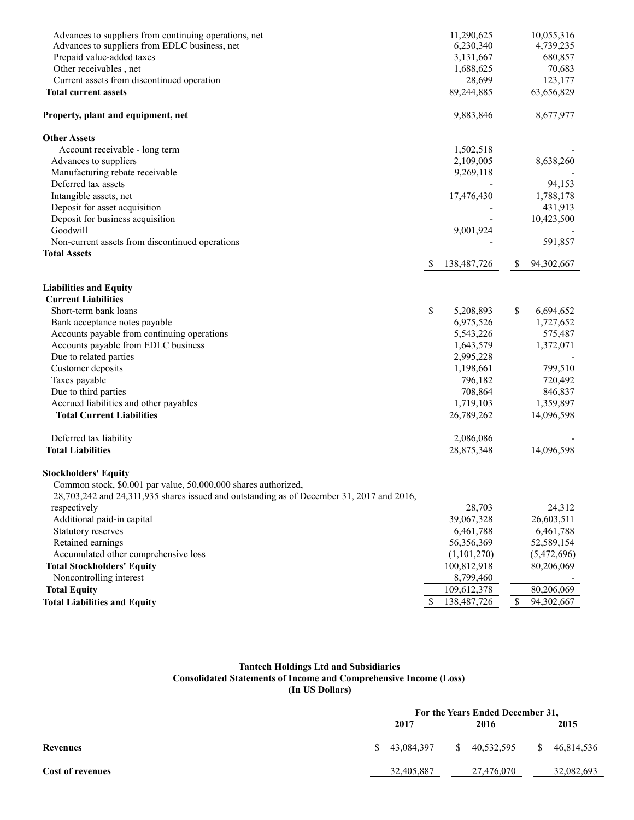| Advances to suppliers from continuing operations, net<br>Advances to suppliers from EDLC business, net |              | 11,290,625<br>6,230,340 |              | 10,055,316<br>4,739,235 |
|--------------------------------------------------------------------------------------------------------|--------------|-------------------------|--------------|-------------------------|
| Prepaid value-added taxes                                                                              |              | 3,131,667               |              | 680,857                 |
| Other receivables, net                                                                                 |              | 1,688,625               |              | 70,683                  |
| Current assets from discontinued operation                                                             |              | 28,699                  |              | 123,177                 |
| <b>Total current assets</b>                                                                            |              | 89,244,885              |              | 63,656,829              |
|                                                                                                        |              |                         |              |                         |
| Property, plant and equipment, net                                                                     |              | 9,883,846               |              | 8,677,977               |
| <b>Other Assets</b>                                                                                    |              |                         |              |                         |
| Account receivable - long term                                                                         |              | 1,502,518               |              |                         |
| Advances to suppliers                                                                                  |              | 2,109,005               |              | 8,638,260               |
| Manufacturing rebate receivable                                                                        |              | 9,269,118               |              |                         |
| Deferred tax assets                                                                                    |              |                         |              | 94,153                  |
| Intangible assets, net                                                                                 |              | 17,476,430              |              | 1,788,178               |
| Deposit for asset acquisition                                                                          |              |                         |              | 431,913                 |
| Deposit for business acquisition                                                                       |              |                         |              | 10,423,500              |
| Goodwill                                                                                               |              | 9,001,924               |              |                         |
| Non-current assets from discontinued operations                                                        |              |                         |              | 591,857                 |
| <b>Total Assets</b>                                                                                    |              | 138,487,726             | \$           | 94,302,667              |
|                                                                                                        |              |                         |              |                         |
| <b>Liabilities and Equity</b><br><b>Current Liabilities</b>                                            |              |                         |              |                         |
| Short-term bank loans                                                                                  |              |                         | \$           | 6,694,652               |
|                                                                                                        | \$           | 5,208,893<br>6,975,526  |              |                         |
| Bank acceptance notes payable<br>Accounts payable from continuing operations                           |              | 5,543,226               |              | 1,727,652<br>575,487    |
| Accounts payable from EDLC business                                                                    |              | 1,643,579               |              | 1,372,071               |
| Due to related parties                                                                                 |              | 2,995,228               |              |                         |
| Customer deposits                                                                                      |              | 1,198,661               |              | 799,510                 |
| Taxes payable                                                                                          |              | 796,182                 |              | 720,492                 |
| Due to third parties                                                                                   |              | 708,864                 |              | 846,837                 |
| Accrued liabilities and other payables                                                                 |              | 1,719,103               |              | 1,359,897               |
| <b>Total Current Liabilities</b>                                                                       |              | 26,789,262              |              | 14,096,598              |
|                                                                                                        |              |                         |              |                         |
| Deferred tax liability                                                                                 |              | 2,086,086               |              |                         |
| <b>Total Liabilities</b>                                                                               |              | 28,875,348              |              | 14,096,598              |
| <b>Stockholders' Equity</b>                                                                            |              |                         |              |                         |
| Common stock, \$0.001 par value, 50,000,000 shares authorized,                                         |              |                         |              |                         |
| $28,703,242$ and $24,311,935$ shares issued and outstanding as of December 31, 2017 and 2016,          |              |                         |              |                         |
| respectively                                                                                           |              | 28,703                  |              | 24,312                  |
| Additional paid-in capital                                                                             |              | 39,067,328              |              | 26,603,511              |
| Statutory reserves                                                                                     |              | 6,461,788               |              | 6,461,788               |
| Retained earnings                                                                                      |              | 56,356,369              |              | 52,589,154              |
| Accumulated other comprehensive loss                                                                   |              | (1,101,270)             |              | (5,472,696)             |
| <b>Total Stockholders' Equity</b>                                                                      |              | 100,812,918             |              | 80,206,069              |
| Noncontrolling interest                                                                                |              | 8,799,460               |              |                         |
| <b>Total Equity</b>                                                                                    |              | 109,612,378             |              | 80,206,069              |
| <b>Total Liabilities and Equity</b>                                                                    | $\mathbb{S}$ | 138,487,726             | $\mathbb{S}$ | 94,302,667              |

#### **Tantech Holdings Ltd and Subsidiaries Consolidated Statements of Income and Comprehensive Income (Loss) (In US Dollars)**

|                         |                            | For the Years Ended December 31, |                            |  |  |  |  |
|-------------------------|----------------------------|----------------------------------|----------------------------|--|--|--|--|
|                         | 2017                       | 2016                             | 2015                       |  |  |  |  |
| Revenues                | 43.084.397<br><sup>S</sup> | \$ 40.532.595                    | 46.814.536<br><sup>S</sup> |  |  |  |  |
| <b>Cost of revenues</b> | 32,405,887                 | 27,476,070                       | 32,082,693                 |  |  |  |  |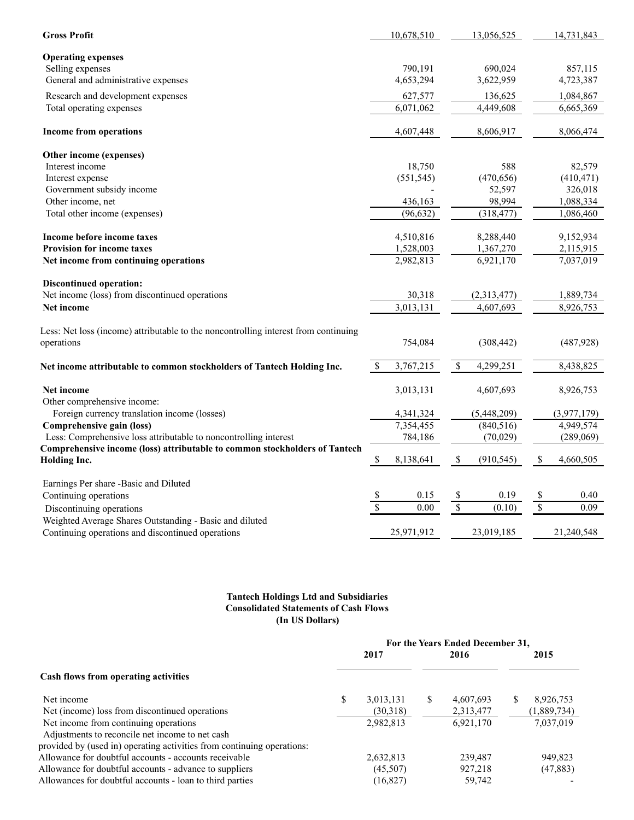| <b>Gross Profit</b>                                                                               |                          | 10.678.510 |              | 13.056.525  |                          | 14.731.843             |
|---------------------------------------------------------------------------------------------------|--------------------------|------------|--------------|-------------|--------------------------|------------------------|
| <b>Operating expenses</b>                                                                         |                          |            |              |             |                          |                        |
| Selling expenses                                                                                  |                          | 790,191    |              | 690.024     |                          | 857,115                |
| General and administrative expenses                                                               |                          | 4,653,294  |              | 3,622,959   |                          | 4,723,387              |
| Research and development expenses                                                                 |                          | 627,577    |              | 136,625     |                          | 1,084,867              |
| Total operating expenses                                                                          |                          | 6,071,062  |              | 4,449,608   |                          | 6,665,369              |
| Income from operations                                                                            |                          | 4,607,448  |              | 8,606,917   |                          | 8,066,474              |
| Other income (expenses)                                                                           |                          |            |              |             |                          |                        |
| Interest income                                                                                   |                          | 18,750     |              | 588         |                          | 82,579                 |
| Interest expense                                                                                  |                          | (551, 545) |              | (470, 656)  |                          | (410, 471)             |
| Government subsidy income                                                                         |                          |            |              | 52,597      |                          | 326,018                |
| Other income, net                                                                                 |                          | 436,163    |              | 98,994      |                          | 1,088,334              |
| Total other income (expenses)                                                                     |                          | (96, 632)  |              | (318, 477)  |                          | 1,086,460              |
| Income before income taxes                                                                        |                          | 4,510,816  |              | 8,288,440   |                          | 9,152,934              |
| <b>Provision for income taxes</b>                                                                 |                          | 1,528,003  |              | 1,367,270   |                          | 2,115,915              |
| Net income from continuing operations                                                             |                          | 2,982,813  |              | 6,921,170   |                          | 7,037,019              |
| <b>Discontinued operation:</b>                                                                    |                          |            |              |             |                          |                        |
| Net income (loss) from discontinued operations                                                    |                          | 30,318     |              | (2,313,477) |                          | 1,889,734              |
| Net income                                                                                        |                          | 3,013,131  |              | 4,607,693   |                          | $\overline{8,}926,753$ |
| Less: Net loss (income) attributable to the noncontrolling interest from continuing<br>operations |                          | 754,084    |              | (308, 442)  |                          | (487, 928)             |
|                                                                                                   |                          |            |              |             |                          |                        |
| Net income attributable to common stockholders of Tantech Holding Inc.                            | $\mathbb S$              | 3,767,215  | $\mathbb{S}$ | 4,299,251   |                          | 8,438,825              |
| Net income<br>Other comprehensive income:                                                         |                          | 3,013,131  |              | 4,607,693   |                          | 8,926,753              |
| Foreign currency translation income (losses)                                                      |                          | 4,341,324  |              | (5,448,209) |                          | (3,977,179)            |
| Comprehensive gain (loss)                                                                         |                          | 7,354,455  |              | (840, 516)  |                          | 4,949,574              |
| Less: Comprehensive loss attributable to noncontrolling interest                                  |                          | 784,186    |              | (70,029)    |                          | (289,069)              |
| Comprehensive income (loss) attributable to common stockholders of Tantech<br><b>Holding Inc.</b> | $\mathbb{S}$             | 8,138,641  | $\mathbb{S}$ | (910, 545)  | $\mathbb S$              | 4,660,505              |
| Earnings Per share -Basic and Diluted                                                             |                          |            |              |             |                          |                        |
| Continuing operations                                                                             | $\frac{1}{2}$            | 0.15       | $\sqrt{3}$   | 0.19        | $\sqrt{3}$               | 0.40                   |
| Discontinuing operations                                                                          | $\overline{\mathcal{S}}$ | 0.00       | $\sqrt{S}$   | (0.10)      | $\overline{\mathcal{S}}$ | 0.09                   |
| Weighted Average Shares Outstanding - Basic and diluted                                           |                          |            |              |             |                          |                        |
| Continuing operations and discontinued operations                                                 |                          | 25,971,912 |              | 23,019,185  |                          | 21,240,548             |

# **Tantech Holdings Ltd and Subsidiaries Consolidated Statements of Cash Flows (In US Dollars)**

|                                                                        | For the Years Ended December 31, |           |   |           |    |             |
|------------------------------------------------------------------------|----------------------------------|-----------|---|-----------|----|-------------|
|                                                                        |                                  | 2017      |   | 2016      |    | 2015        |
| Cash flows from operating activities                                   |                                  |           |   |           |    |             |
| Net income                                                             | \$                               | 3,013,131 | S | 4,607,693 | S. | 8,926,753   |
| Net (income) loss from discontinued operations                         |                                  | (30,318)  |   | 2,313,477 |    | (1,889,734) |
| Net income from continuing operations                                  |                                  | 2,982,813 |   | 6,921,170 |    | 7,037,019   |
| Adjustments to reconcile net income to net cash                        |                                  |           |   |           |    |             |
| provided by (used in) operating activities from continuing operations: |                                  |           |   |           |    |             |
| Allowance for doubtful accounts - accounts receivable                  |                                  | 2,632,813 |   | 239,487   |    | 949,823     |
| Allowance for doubtful accounts - advance to suppliers                 |                                  | (45,507)  |   | 927,218   |    | (47, 883)   |
| Allowances for doubtful accounts - loan to third parties               |                                  | (16,827)  |   | 59,742    |    |             |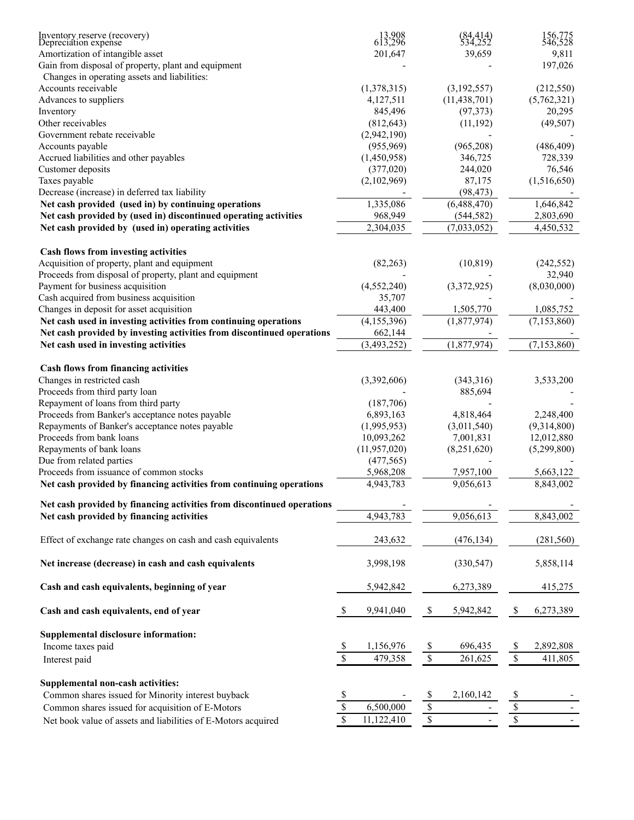| Inventory reserve (recovery)<br>Depreciation expense                   | 613,908<br>613,296         | (84,414)<br>534,252                  | 156,775<br>546,528                                    |
|------------------------------------------------------------------------|----------------------------|--------------------------------------|-------------------------------------------------------|
| Amortization of intangible asset                                       | 201,647                    | 39,659                               | 9,811                                                 |
| Gain from disposal of property, plant and equipment                    |                            |                                      | 197,026                                               |
| Changes in operating assets and liabilities:                           |                            |                                      |                                                       |
| Accounts receivable                                                    | (1,378,315)                | (3,192,557)                          | (212, 550)                                            |
| Advances to suppliers                                                  | 4,127,511                  | (11, 438, 701)                       | (5,762,321)                                           |
| Inventory                                                              | 845,496                    | (97, 373)                            | 20,295                                                |
| Other receivables                                                      | (812, 643)                 | (11, 192)                            | (49, 507)                                             |
| Government rebate receivable                                           | (2,942,190)                |                                      |                                                       |
| Accounts payable                                                       | (955,969)                  | (965,208)                            | (486, 409)                                            |
| Accrued liabilities and other payables                                 | (1,450,958)                | 346,725                              | 728,339                                               |
| Customer deposits                                                      | (377,020)                  | 244,020                              | 76,546                                                |
| Taxes payable                                                          | (2,102,969)                | 87,175                               | (1,516,650)                                           |
| Decrease (increase) in deferred tax liability                          |                            | (98, 473)                            |                                                       |
| Net cash provided (used in) by continuing operations                   | 1,335,086                  | (6,488,470)                          | 1,646,842                                             |
| Net cash provided by (used in) discontinued operating activities       | 968,949                    | (544, 582)                           | 2,803,690                                             |
| Net cash provided by (used in) operating activities                    | 2,304,035                  | (7,033,052)                          | 4,450,532                                             |
| Cash flows from investing activities                                   |                            |                                      |                                                       |
| Acquisition of property, plant and equipment                           | (82, 263)                  | (10, 819)                            | (242, 552)                                            |
| Proceeds from disposal of property, plant and equipment                |                            |                                      | 32,940                                                |
| Payment for business acquisition                                       | (4, 552, 240)              | (3,372,925)                          | (8,030,000)                                           |
| Cash acquired from business acquisition                                | 35,707                     |                                      |                                                       |
| Changes in deposit for asset acquisition                               | 443,400                    | 1,505,770                            | 1,085,752                                             |
| Net cash used in investing activities from continuing operations       | (4, 155, 396)              | (1,877,974)                          | (7, 153, 860)                                         |
| Net cash provided by investing activities from discontinued operations | 662,144                    |                                      |                                                       |
| Net cash used in investing activities                                  | (3,493,252)                | (1,877,974)                          | (7,153,860)                                           |
| Cash flows from financing activities                                   |                            |                                      |                                                       |
| Changes in restricted cash                                             | (3,392,606)                | (343,316)                            | 3,533,200                                             |
| Proceeds from third party loan                                         |                            | 885,694                              |                                                       |
| Repayment of loans from third party                                    | (187,706)                  |                                      |                                                       |
| Proceeds from Banker's acceptance notes payable                        | 6,893,163                  | 4,818,464                            | 2,248,400                                             |
| Repayments of Banker's acceptance notes payable                        | (1,995,953)                | (3,011,540)                          | (9,314,800)                                           |
| Proceeds from bank loans                                               | 10,093,262                 | 7,001,831                            | 12,012,880                                            |
| Repayments of bank loans                                               | (11, 957, 020)             | (8,251,620)                          | (5,299,800)                                           |
| Due from related parties                                               | (477, 565)                 |                                      |                                                       |
| Proceeds from issuance of common stocks                                | 5,968,208                  | 7,957,100                            | 5,663,122                                             |
| Net cash provided by financing activities from continuing operations   | 4,943,783                  | 9,056,613                            | 8,843,002                                             |
|                                                                        |                            |                                      |                                                       |
| Net cash provided by financing activities from discontinued operations |                            |                                      |                                                       |
| Net cash provided by financing activities                              | 4,943,783                  | 9,056,613                            | 8,843,002                                             |
| Effect of exchange rate changes on cash and cash equivalents           | 243,632                    | (476, 134)                           | (281, 560)                                            |
| Net increase (decrease) in cash and cash equivalents                   | 3,998,198                  | (330, 547)                           | 5,858,114                                             |
| Cash and cash equivalents, beginning of year                           | 5,942,842                  | 6,273,389                            | 415,275                                               |
| Cash and cash equivalents, end of year                                 | $\mathbb{S}$<br>9,941,040  | $\mathbb S$<br>5,942,842             | $\mathbb{S}$<br>6,273,389                             |
| Supplemental disclosure information:                                   |                            |                                      |                                                       |
| Income taxes paid                                                      | 1,156,976<br>$\mathcal{S}$ | $\boldsymbol{\mathsf{S}}$<br>696,435 | 2,892,808<br>\$                                       |
| Interest paid                                                          | $\sqrt{3}$<br>479,358      | $\overline{\mathcal{S}}$<br>261,625  | $\sqrt{\frac{2}{n}}$<br>411,805                       |
| Supplemental non-cash activities:                                      |                            |                                      |                                                       |
| Common shares issued for Minority interest buyback                     | $\mathcal{S}$              | $\mathcal{S}$<br>2,160,142           | $\frac{1}{2}$                                         |
| Common shares issued for acquisition of E-Motors                       | $\sqrt{s}$<br>6,500,000    | $\sqrt{\ }$                          | $\boldsymbol{\mathbb{S}}$<br>$\overline{\phantom{0}}$ |
| Net book value of assets and liabilities of E-Motors acquired          | $\mathbb{S}$<br>11,122,410 | $\sqrt{\frac{2}{3}}$                 | $\mathbb{S}$                                          |
|                                                                        |                            |                                      |                                                       |